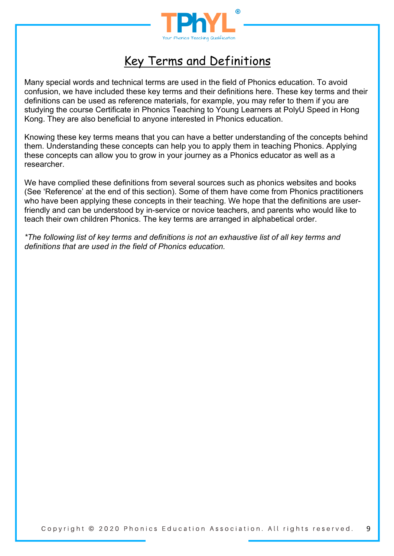

# Key Terms and Definitions

Many special words and technical terms are used in the field of Phonics education. To avoid confusion, we have included these key terms and their definitions here. These key terms and their definitions can be used as reference materials, for example, you may refer to them if you are studying the course Certificate in Phonics Teaching to Young Learners at PolyU Speed in Hong Kong. They are also beneficial to anyone interested in Phonics education.

Knowing these key terms means that you can have a better understanding of the concepts behind them. Understanding these concepts can help you to apply them in teaching Phonics. Applying these concepts can allow you to grow in your journey as a Phonics educator as well as a researcher.

We have complied these definitions from several sources such as phonics websites and books (See 'Reference' at the end of this section). Some of them have come from Phonics practitioners who have been applying these concepts in their teaching. We hope that the definitions are userfriendly and can be understood by in-service or novice teachers, and parents who would like to teach their own children Phonics. The key terms are arranged in alphabetical order.

*\*The following list of key terms and definitions is not an exhaustive list of all key terms and definitions that are used in the field of Phonics education.*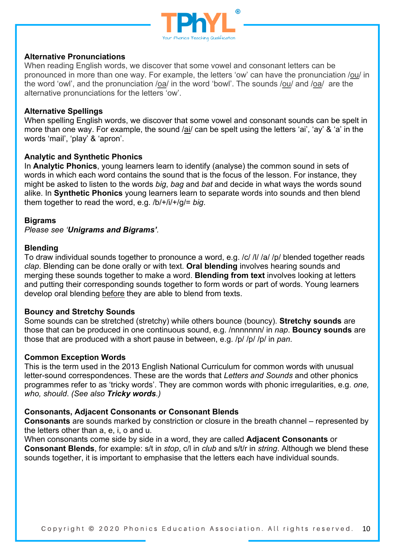

## **Alternative Pronunciations**

When reading English words, we discover that some vowel and consonant letters can be pronounced in more than one way. For example, the letters 'ow' can have the pronunciation /ou/ in the word 'owl', and the pronunciation /oa/ in the word 'bowl'. The sounds /ou/ and /oa/ are the alternative pronunciations for the letters 'ow'.

#### **Alternative Spellings**

When spelling English words, we discover that some vowel and consonant sounds can be spelt in more than one way. For example, the sound /ai/ can be spelt using the letters 'ai', 'ay' & 'a' in the words 'mail', 'play' & 'apron'.

## **Analytic and Synthetic Phonics**

In **Analytic Phonics**, young learners learn to identify (analyse) the common sound in sets of words in which each word contains the sound that is the focus of the lesson. For instance, they might be asked to listen to the words *big*, *bag* and *bat* and decide in what ways the words sound alike. In **Synthetic Phonics** young learners learn to separate words into sounds and then blend them together to read the word, e.g. /b/+/i/+/g/= *big*.

#### **Bigrams**

*Please see 'Unigrams and Bigrams'.*

#### **Blending**

To draw individual sounds together to pronounce a word, e.g. /c/ /l/ /a/ /p/ blended together reads *clap*. Blending can be done orally or with text. **Oral blending** involves hearing sounds and merging these sounds together to make a word. **Blending from text** involves looking at letters and putting their corresponding sounds together to form words or part of words. Young learners develop oral blending before they are able to blend from texts.

## **Bouncy and Stretchy Sounds**

Some sounds can be stretched (stretchy) while others bounce (bouncy). **Stretchy sounds** are those that can be produced in one continuous sound, e.g. /nnnnnnn/ in *nap*. **Bouncy sounds** are those that are produced with a short pause in between, e.g. /p/ /p/ /p/ in *pan*.

#### **Common Exception Words**

This is the term used in the 2013 English National Curriculum for common words with unusual letter-sound correspondences. These are the words that *Letters and Sounds* and other phonics programmes refer to as 'tricky words'. They are common words with phonic irregularities, e.g. *one, who, should*. *(See also Tricky words.)*

#### **Consonants, Adjacent Consonants or Consonant Blends**

**Consonants** are sounds marked by constriction or closure in the breath channel – represented by the letters other than a, e, i, o and u.

When consonants come side by side in a word, they are called **Adjacent Consonants** or **Consonant Blends**, for example: s/t in *stop*, c/l in *club* and s/t/r in *string*. Although we blend these sounds together, it is important to emphasise that the letters each have individual sounds.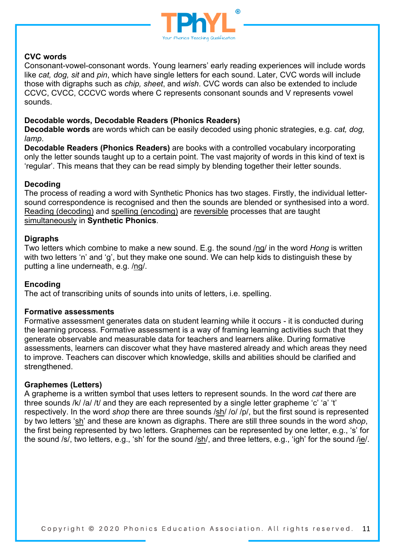

# **CVC words**

Consonant-vowel-consonant words. Young learners' early reading experiences will include words like *cat, dog, sit* and *pin*, which have single letters for each sound. Later, CVC words will include those with digraphs such as *chip, sheet*, and *wish*. CVC words can also be extended to include CCVC, CVCC, CCCVC words where C represents consonant sounds and V represents vowel sounds.

## **Decodable words, Decodable Readers (Phonics Readers)**

**Decodable words** are words which can be easily decoded using phonic strategies, e.g. *cat, dog, lamp*.

**Decodable Readers (Phonics Readers)** are books with a controlled vocabulary incorporating only the letter sounds taught up to a certain point. The vast majority of words in this kind of text is 'regular'. This means that they can be read simply by blending together their letter sounds.

# **Decoding**

The process of reading a word with Synthetic Phonics has two stages. Firstly, the individual lettersound correspondence is recognised and then the sounds are blended or synthesised into a word. Reading (decoding) and spelling (encoding) are reversible processes that are taught simultaneously in **Synthetic Phonics**.

# **Digraphs**

Two letters which combine to make a new sound. E.g. the sound /ng/ in the word *Hong* is written with two letters 'n' and 'g', but they make one sound. We can help kids to distinguish these by putting a line underneath, e.g. /ng/.

# **Encoding**

The act of transcribing units of sounds into units of letters, i.e. spelling.

## **Formative assessments**

Formative assessment generates data on student learning while it occurs - it is conducted during the learning process. Formative assessment is a way of framing learning activities such that they generate observable and measurable data for teachers and learners alike. During formative assessments, learners can discover what they have mastered already and which areas they need to improve. Teachers can discover which knowledge, skills and abilities should be clarified and strengthened.

## **Graphemes (Letters)**

A grapheme is a written symbol that uses letters to represent sounds. In the word *cat* there are three sounds /k/ /a/ /t/ and they are each represented by a single letter grapheme 'c' 'a' 't' respectively. In the word *shop* there are three sounds /sh/ /o/ /p/, but the first sound is represented by two letters 'sh' and these are known as digraphs. There are still three sounds in the word *shop*, the first being represented by two letters. Graphemes can be represented by one letter, e.g., 's' for the sound /s/, two letters, e.g., 'sh' for the sound /sh/, and three letters, e.g., 'igh' for the sound /ie/.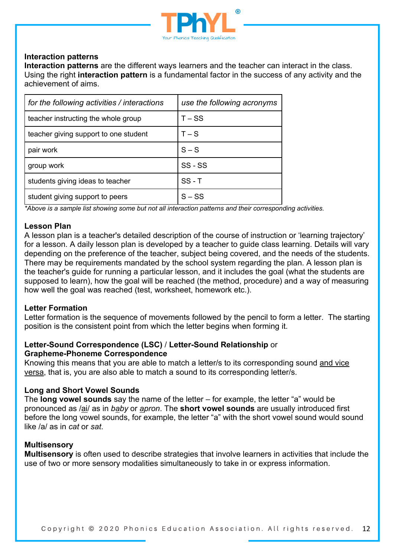

# **Interaction patterns**

**Interaction patterns** are the different ways learners and the teacher can interact in the class. Using the right **interaction pattern** is a fundamental factor in the success of any activity and the achievement of aims.

| for the following activities / interactions | use the following acronyms |
|---------------------------------------------|----------------------------|
| teacher instructing the whole group         | $T - SS$                   |
| teacher giving support to one student       | $T-S$                      |
| pair work                                   | $S-S$                      |
| group work                                  | SS-SS                      |
| students giving ideas to teacher            | $SS - T$                   |
| student giving support to peers             | $S - SS$                   |

*\*Above is a sample list showing some but not all interaction patterns and their corresponding activities.*

## **Lesson Plan**

A lesson plan is a teacher's detailed description of the course of instruction or 'learning trajectory' for a lesson. A daily lesson plan is developed by a teacher to guide class learning. Details will vary depending on the preference of the teacher, subject being covered, and the needs of the students. There may be requirements mandated by the school system regarding the plan. A lesson plan is the teacher's guide for running a particular lesson, and it includes the goal (what the students are supposed to learn), how the goal will be reached (the method, procedure) and a way of measuring how well the goal was reached (test, worksheet, homework etc.).

#### **Letter Formation**

Letter formation is the sequence of movements followed by the pencil to form a letter. The starting position is the consistent point from which the letter begins when forming it.

## **Letter-Sound Correspondence (LSC)** / **Letter-Sound Relationship** or **Grapheme-Phoneme Correspondence**

Knowing this means that you are able to match a letter/s to its corresponding sound and vice versa, that is, you are also able to match a sound to its corresponding letter/s.

## **Long and Short Vowel Sounds**

The **long vowel sounds** say the name of the letter – for example, the letter "a" would be pronounced as /ai/ as in *baby* or *apron*. The **short vowel sounds** are usually introduced first before the long vowel sounds, for example, the letter "a" with the short vowel sound would sound like /a/ as in *cat* or *sat*.

#### **Multisensory**

**Multisensory** is often used to describe strategies that involve learners in activities that include the use of two or more sensory modalities simultaneously to take in or express information.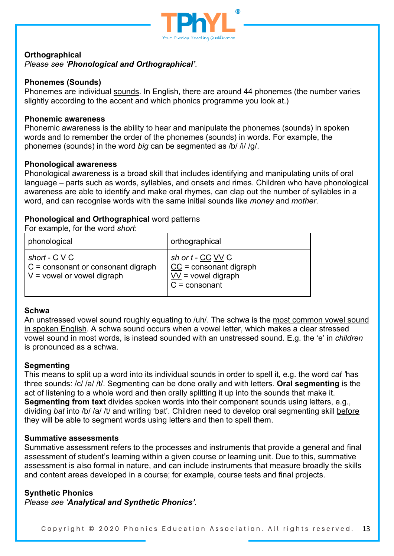

## **Orthographical**

*Please see 'Phonological and Orthographical'.*

## **Phonemes (Sounds)**

Phonemes are individual sounds. In English, there are around 44 phonemes (the number varies slightly according to the accent and which phonics programme you look at.)

#### **Phonemic awareness**

Phonemic awareness is the ability to hear and manipulate the phonemes (sounds) in spoken words and to remember the order of the phonemes (sounds) in words. For example, the phonemes (sounds) in the word *big* can be segmented as /b/ /i/ /g/.

#### **Phonological awareness**

Phonological awareness is a broad skill that includes identifying and manipulating units of oral language – parts such as words, syllables, and onsets and rimes. Children who have phonological awareness are able to identify and make oral rhymes, can clap out the number of syllables in a word, and can recognise words with the same initial sounds like *money* and *mother*.

# **Phonological and Orthographical** word patterns

For example, for the word *short*:

| phonological                                                                            | orthographical                                                                         |
|-----------------------------------------------------------------------------------------|----------------------------------------------------------------------------------------|
| short - $C$ V C<br>$C =$ consonant or consonant digraph<br>$V =$ vowel or vowel digraph | sh or t - CC VV C<br>$CC = constant digraph$<br>$VV =$ vowel digraph<br>$C = constant$ |

## **Schwa**

An unstressed vowel sound roughly equating to /uh/. The schwa is the most common vowel sound in spoken English. A schwa sound occurs when a vowel letter, which makes a clear stressed vowel sound in most words, is instead sounded with an unstressed sound. E.g. the 'e' in *children* is pronounced as a schwa.

## **Segmenting**

This means to split up a word into its individual sounds in order to spell it, e.g. the word *cat '*has three sounds: /c/ /a/ /t/. Segmenting can be done orally and with letters. **Oral segmenting** is the act of listening to a whole word and then orally splitting it up into the sounds that make it. **Segmenting from text** divides spoken words into their component sounds using letters, e.g., dividing *bat* into /b/ /a/ /t/ and writing 'bat'. Children need to develop oral segmenting skill before they will be able to segment words using letters and then to spell them.

## **Summative assessments**

Summative assessment refers to the processes and instruments that provide a general and final assessment of student's learning within a given course or learning unit. Due to this, summative assessment is also formal in nature, and can include instruments that measure broadly the skills and content areas developed in a course; for example, course tests and final projects.

## **Synthetic Phonics**

*Please see 'Analytical and Synthetic Phonics'.*